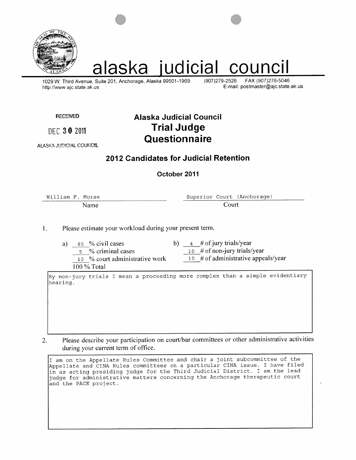

# alaska judicial council

1029 W. Third Avenue, Suite 201, Anchorage, Alaska 99501-1969 http://www.ajc.state.ak.us

(907) 279-2526 FAX (907)276-5046 E-mail: postmaster@ajc.state.ak.us

**RECEIVED** 

DEC 30 2011

#### ALASKA JUDICIAL COUNCIL

## **Alaska Judicial Council Trial Judge Questionnaire**

## 2012 Candidates for Judicial Retention

#### October 2011

William F. Morse Name Superior Court (Anchorage) Court

Please estimate your workload during your present term.  $1.$ 

10 % court administrative work

- a)  $85 \%$  civil cases 5 % criminal cases
- b)  $4 \#$  of jury trials/year

10 # of non-jury trials/year

10 # of administrative appeals/year

100 % Total

By non-jury trials I mean a proceeding more complex than a simple evidentiary hearing.

Please describe your participation on court/bar committees or other administrative activities  $\overline{2}$ . during your current term of office.

I am on the Appellate Rules Committee and chair a joint subcommittee of the Appellate and CINA Rules committees on a particular CINA issue. I have filed in as acting presiding judge for the Third Judicial District. I am the lead judge for administrative matters concerning the Anchorage therapeutic court and the PACE project.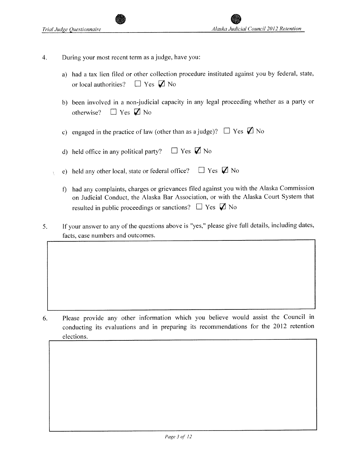- $\overline{4}$ . During your most recent term as a judge, have you:
	- a) had a tax lien filed or other collection procedure instituted against you by federal, state,  $\Box$  Yes  $\Box$  No or local authorities?
	- b) been involved in a non-judicial capacity in any legal proceeding whether as a party or  $\Box$  Yes  $\Box$  No otherwise?
	- c) engaged in the practice of law (other than as a judge)?  $\Box$  Yes  $\Box$  No
	- $\Box$  Yes  $\Box$  No d) held office in any political party?
	- e) held any other local, state or federal office?  $\Box$  Yes  $\Box$  No
		- f) had any complaints, charges or grievances filed against you with the Alaska Commission on Judicial Conduct, the Alaska Bar Association, or with the Alaska Court System that resulted in public proceedings or sanctions?  $\Box$  Yes  $\Box$  No
- If your answer to any of the questions above is "yes," please give full details, including dates, 5. facts, case numbers and outcomes.

Please provide any other information which you believe would assist the Council in 6. conducting its evaluations and in preparing its recommendations for the 2012 retention elections.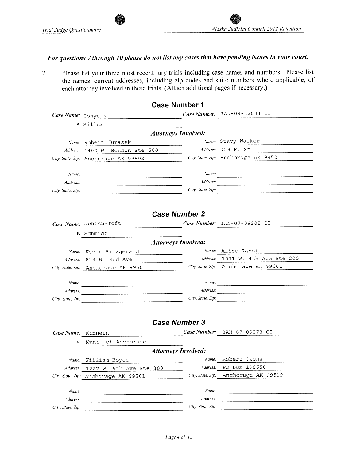## For questions 7 through 10 please do not list any cases that have pending issues in your court.

Please list your three most recent jury trials including case names and numbers. Please list 7. the names, current addresses, including zip codes and suite numbers where applicable, of each attorney involved in these trials. (Attach additional pages if necessary.)

|                    |                                      | <b>Case Number 1</b>                             |                                                                                                                                                                                                                                                                                                                                                                                                                                                                                                          |
|--------------------|--------------------------------------|--------------------------------------------------|----------------------------------------------------------------------------------------------------------------------------------------------------------------------------------------------------------------------------------------------------------------------------------------------------------------------------------------------------------------------------------------------------------------------------------------------------------------------------------------------------------|
| Case Name: Conyers |                                      |                                                  | Case Number: 3AN-09-12884 CI                                                                                                                                                                                                                                                                                                                                                                                                                                                                             |
|                    | v. Miller                            |                                                  |                                                                                                                                                                                                                                                                                                                                                                                                                                                                                                          |
|                    |                                      | <b>Attorneys Involved:</b>                       |                                                                                                                                                                                                                                                                                                                                                                                                                                                                                                          |
|                    | Name: Robert Jurasek                 |                                                  | Name: Stacy Walker                                                                                                                                                                                                                                                                                                                                                                                                                                                                                       |
|                    | Address: 1400 W. Benson Ste 500      |                                                  | Address: 329 F. St                                                                                                                                                                                                                                                                                                                                                                                                                                                                                       |
|                    | City, State, Zip: Anchorage AK 99503 |                                                  | City, State, Zip: Anchorage AK 99501                                                                                                                                                                                                                                                                                                                                                                                                                                                                     |
| Name:              |                                      |                                                  |                                                                                                                                                                                                                                                                                                                                                                                                                                                                                                          |
| Address:           |                                      |                                                  |                                                                                                                                                                                                                                                                                                                                                                                                                                                                                                          |
| City, State, Zip:  |                                      |                                                  | City, State. Zip:                                                                                                                                                                                                                                                                                                                                                                                                                                                                                        |
|                    |                                      |                                                  |                                                                                                                                                                                                                                                                                                                                                                                                                                                                                                          |
|                    |                                      | <b>Case Number 2</b>                             |                                                                                                                                                                                                                                                                                                                                                                                                                                                                                                          |
|                    | Case Name: Jensen-Toft               |                                                  | Case Number: 3AN-07-09205 CI                                                                                                                                                                                                                                                                                                                                                                                                                                                                             |
|                    | v. Schmidt                           |                                                  |                                                                                                                                                                                                                                                                                                                                                                                                                                                                                                          |
|                    |                                      | <b>Attorneys Involved:</b>                       |                                                                                                                                                                                                                                                                                                                                                                                                                                                                                                          |
|                    | Name: Kevin Fitzgerald               | and the company of the company of the company of | Name: Alice Rahoi                                                                                                                                                                                                                                                                                                                                                                                                                                                                                        |
|                    | Address: 813 W. 3rd Ave              |                                                  | Address: 1031 W. 4th Ave Ste 200                                                                                                                                                                                                                                                                                                                                                                                                                                                                         |
|                    | City, State, Zip: Anchorage AK 99501 |                                                  | City, State, Zip: Anchorage AK 99501                                                                                                                                                                                                                                                                                                                                                                                                                                                                     |
|                    |                                      |                                                  |                                                                                                                                                                                                                                                                                                                                                                                                                                                                                                          |
| Name:              |                                      |                                                  | Name:                                                                                                                                                                                                                                                                                                                                                                                                                                                                                                    |
| Address:           |                                      |                                                  | $Address: \begin{tabular}{ c c c c } \hline \multicolumn{3}{ c }{\textbf{\textit{Address}}} & \multicolumn{3}{ c }{\textbf{\textit{Address}}} \\ \hline \multicolumn{3}{ c }{\textbf{\textit{Address}}} & \multicolumn{3}{ c }{\textbf{\textit{EX}}}} & \multicolumn{3}{ c }{\textbf{\textit{EX}}}} & \multicolumn{3}{ c }{\textbf{\textit{EX}}}} & \multicolumn{3}{ c }{\textbf{\textit{EX}}}} & \multicolumn{3}{ c }{\textbf{\textit{EX}}}} \\ \hline \multicolumn{3}{ c }{\textbf{\textit{Address}}}$ |
| City, State, Zip:  |                                      |                                                  | City, State, Zip:                                                                                                                                                                                                                                                                                                                                                                                                                                                                                        |
|                    |                                      |                                                  |                                                                                                                                                                                                                                                                                                                                                                                                                                                                                                          |
|                    |                                      | <b>Case Number 3</b>                             |                                                                                                                                                                                                                                                                                                                                                                                                                                                                                                          |
| Case Name: Kinneen |                                      |                                                  | Case Number: 3AN-07-09878 CI                                                                                                                                                                                                                                                                                                                                                                                                                                                                             |
| ν.                 | Muni. of Anchorage                   |                                                  |                                                                                                                                                                                                                                                                                                                                                                                                                                                                                                          |
|                    |                                      | <b>Attorneys Involved:</b>                       |                                                                                                                                                                                                                                                                                                                                                                                                                                                                                                          |
|                    | Name: William Royce                  |                                                  | <i>Name:</i> Robert Owens                                                                                                                                                                                                                                                                                                                                                                                                                                                                                |
|                    | Address: 1227 W. 9th Ave Ste 300     | Address:                                         | PO Box 196650                                                                                                                                                                                                                                                                                                                                                                                                                                                                                            |
|                    | City, State, Zip: Anchorage AK 99501 | City, State, Zip:                                | Anchorage AK 99519                                                                                                                                                                                                                                                                                                                                                                                                                                                                                       |
| Name:              |                                      | Name:                                            |                                                                                                                                                                                                                                                                                                                                                                                                                                                                                                          |
| Address:           |                                      | Address:                                         | <u> 1989 - Johann Barn, fransk politik (f. 1989)</u>                                                                                                                                                                                                                                                                                                                                                                                                                                                     |
| City, State, Zip:  |                                      | City, State, Zip:                                |                                                                                                                                                                                                                                                                                                                                                                                                                                                                                                          |
|                    |                                      |                                                  |                                                                                                                                                                                                                                                                                                                                                                                                                                                                                                          |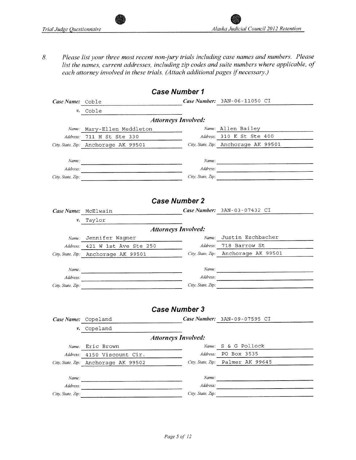Please list your three most recent non-jury trials including case names and numbers. Please 8. list the names, current addresses, including zip codes and suite numbers where applicable, of each attorney involved in these trials. (Attach additional pages if necessary.)

|                            |                                                                                                                        | <b>Case Number 1</b>       |                                      |  |  |  |  |  |  |  |  |
|----------------------------|------------------------------------------------------------------------------------------------------------------------|----------------------------|--------------------------------------|--|--|--|--|--|--|--|--|
| Case Name: Coble           |                                                                                                                        |                            | Case Number: 3AN-06-11050 CI         |  |  |  |  |  |  |  |  |
| ν.                         | Coble                                                                                                                  |                            |                                      |  |  |  |  |  |  |  |  |
|                            |                                                                                                                        | <b>Attorneys Involved:</b> |                                      |  |  |  |  |  |  |  |  |
|                            | Name: Mary-Ellen Meddleton                                                                                             |                            | Name: Allen Bailey                   |  |  |  |  |  |  |  |  |
| Address:                   | 711 H St Ste 330                                                                                                       |                            | Address: 310 K St Ste 400            |  |  |  |  |  |  |  |  |
|                            | City, State, Zip: Anchorage AK 99501                                                                                   |                            | City, State, Zip: Anchorage AK 99501 |  |  |  |  |  |  |  |  |
|                            |                                                                                                                        |                            |                                      |  |  |  |  |  |  |  |  |
| Name:                      |                                                                                                                        |                            | Name:                                |  |  |  |  |  |  |  |  |
| Address:                   |                                                                                                                        |                            |                                      |  |  |  |  |  |  |  |  |
| City, State, Zip:          |                                                                                                                        |                            | City, State, Zip:                    |  |  |  |  |  |  |  |  |
|                            |                                                                                                                        |                            |                                      |  |  |  |  |  |  |  |  |
|                            |                                                                                                                        |                            |                                      |  |  |  |  |  |  |  |  |
|                            |                                                                                                                        | <b>Case Number 2</b>       |                                      |  |  |  |  |  |  |  |  |
|                            | Case Name: McElwain                                                                                                    |                            | Case Number: 3AN-03-07432 CI         |  |  |  |  |  |  |  |  |
| ν.                         | Taylor                                                                                                                 |                            |                                      |  |  |  |  |  |  |  |  |
| <b>Attorneys Involved:</b> |                                                                                                                        |                            |                                      |  |  |  |  |  |  |  |  |
|                            | Name: Jennifer Wagner                                                                                                  |                            | Name: Justin Eschbacher              |  |  |  |  |  |  |  |  |
| Address:                   | 421 W 1st Ave Ste 250                                                                                                  |                            | Address: 718 Barrow St               |  |  |  |  |  |  |  |  |
|                            | City, State, Zip: Anchorage AK 99501                                                                                   |                            | City, State, Zip: Anchorage AK 99501 |  |  |  |  |  |  |  |  |
|                            |                                                                                                                        |                            |                                      |  |  |  |  |  |  |  |  |
| Name:                      | <u> 1980 - Jan Samuel Barbara, martin da basar da shekara 1980 - Andrea Samuel Barbara, marka 1980 - Andrea Samuel</u> |                            |                                      |  |  |  |  |  |  |  |  |
| Address:                   |                                                                                                                        |                            |                                      |  |  |  |  |  |  |  |  |
| City, State, Zip:          | <u> 1980 - Andrea Stadt Brander, amerikansk politik (</u>                                                              |                            | City, State, Zip:                    |  |  |  |  |  |  |  |  |
|                            |                                                                                                                        |                            |                                      |  |  |  |  |  |  |  |  |
|                            |                                                                                                                        |                            |                                      |  |  |  |  |  |  |  |  |
|                            |                                                                                                                        | <b>Case Number 3</b>       |                                      |  |  |  |  |  |  |  |  |
| Case Name: Copeland        |                                                                                                                        |                            | Case Number: 3AN-09-07595 CI         |  |  |  |  |  |  |  |  |
| ν.                         | Copeland                                                                                                               |                            |                                      |  |  |  |  |  |  |  |  |
|                            |                                                                                                                        | <b>Attorneys Involved:</b> |                                      |  |  |  |  |  |  |  |  |
| Name:                      | Eric Brown                                                                                                             | Name:                      | S & G Pollock                        |  |  |  |  |  |  |  |  |
| Address:                   | 4150 Viscount Cir.                                                                                                     | Address:                   | PO Box 3535                          |  |  |  |  |  |  |  |  |
|                            | City, State, Zip: Anchorage AK 99502                                                                                   |                            | City. State. Zip: Palmer AK 99645    |  |  |  |  |  |  |  |  |
|                            |                                                                                                                        |                            |                                      |  |  |  |  |  |  |  |  |
| Name:                      |                                                                                                                        | Name:                      |                                      |  |  |  |  |  |  |  |  |
| Address:                   |                                                                                                                        | Address:                   |                                      |  |  |  |  |  |  |  |  |
| City, State, Zip:          |                                                                                                                        | City, State, Zip:          |                                      |  |  |  |  |  |  |  |  |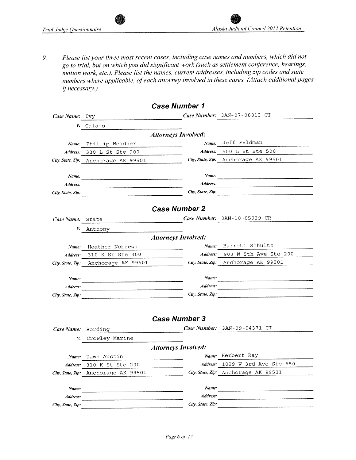Please list your three most recent cases, including case names and numbers, which did not 9. go to trial, but on which you did significant work (such as settlement conference, hearings, motion work, etc.). Please list the names, current addresses, including zip codes and suite numbers where applicable, of each attorney involved in these cases. (Attach additional pages if necessary.)

|                               |                                                                                                                        | <b>Case Number 1</b>       |                                      |
|-------------------------------|------------------------------------------------------------------------------------------------------------------------|----------------------------|--------------------------------------|
| Case Name:                    | Ivy                                                                                                                    |                            | Case Number: 3AN-07-08813 CI         |
| ν.                            | Calais                                                                                                                 |                            |                                      |
|                               |                                                                                                                        | <b>Attorneys Involved:</b> |                                      |
| Name:                         | Phillip Weidner                                                                                                        | Name:                      | Jeff Feldman                         |
|                               | Address: 330 L St Ste 200                                                                                              | Address:                   | 500 L St Ste 500                     |
|                               | City, State, Zip: Anchorage AK 99501                                                                                   |                            | City, State, Zip: Anchorage AK 99501 |
|                               |                                                                                                                        |                            |                                      |
| Name:                         |                                                                                                                        | Name:                      |                                      |
| Address:                      | <u> 1980 - Januar Stein, margaret amerikan bestean ingila di sebagai pertama di sebagai pertama di sebagai pertama</u> | Address:                   |                                      |
| City, State, Zip:             |                                                                                                                        | City, State, Zip:          |                                      |
|                               |                                                                                                                        |                            |                                      |
|                               |                                                                                                                        | <b>Case Number 2</b>       |                                      |
| Case Name:                    | State                                                                                                                  |                            | Case Number: 3AN-10-05939 CR         |
| ν.                            | Anthony                                                                                                                |                            |                                      |
|                               |                                                                                                                        | <b>Attorneys Involved:</b> |                                      |
| Name:                         | Heather Nobrega                                                                                                        | Name:                      | Barrett Schultz                      |
| Address:                      | 310 K St Ste 300                                                                                                       | Address:                   | 900 W 5th Ave Ste 200                |
|                               | City, State, Zip: Anchorage AK 99501                                                                                   |                            | City, State, Zip: Anchorage AK 99501 |
|                               |                                                                                                                        | Name:                      |                                      |
| Name:                         |                                                                                                                        | Address:                   |                                      |
| Address:<br>City, State, Zip: |                                                                                                                        | City, State, Zip:          |                                      |
|                               |                                                                                                                        |                            |                                      |
|                               |                                                                                                                        |                            |                                      |
|                               |                                                                                                                        | <b>Case Number 3</b>       |                                      |
| Case Name: Bording            |                                                                                                                        |                            | Case Number: $3AN-09-04371$ CI       |
| ν.                            | Crowley Marine                                                                                                         |                            |                                      |
|                               |                                                                                                                        | <b>Attorneys Involved:</b> |                                      |
| Name:                         | Dawn Austin                                                                                                            |                            | Name: Herbert Ray                    |
| Address:                      | 310 K St Ste 200                                                                                                       | Address:                   | 1029 W 3rd Ave Ste 650               |
| City, State, Zip:             | Anchorage AK 99501                                                                                                     |                            | City, State, Zip: Anchorage AK 99501 |
|                               |                                                                                                                        |                            |                                      |
| Name:                         |                                                                                                                        | Name:                      |                                      |
| Address:                      |                                                                                                                        | Address:                   |                                      |
| City, State, Zip:             |                                                                                                                        | City, State, Zip:          |                                      |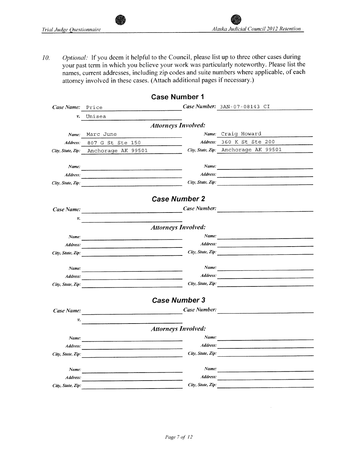$\bar{\mathbf{v}}$ 

Optional: If you deem it helpful to the Council, please list up to three other cases during 10. your past term in which you believe your work was particularly noteworthy. Please list the names, current addresses, including zip codes and suite numbers where applicable, of each attorney involved in these cases. (Attach additional pages if necessary.)

|                   |                                                                                                                                                                                                                                      | <b>Case Number 1</b>       |                                                                                                                      |
|-------------------|--------------------------------------------------------------------------------------------------------------------------------------------------------------------------------------------------------------------------------------|----------------------------|----------------------------------------------------------------------------------------------------------------------|
| Case Name:        | Price                                                                                                                                                                                                                                |                            | Case Number: $3AN-07-08143$ CI                                                                                       |
| ν.                | Unisea                                                                                                                                                                                                                               |                            |                                                                                                                      |
|                   |                                                                                                                                                                                                                                      | <b>Attorneys Involved:</b> |                                                                                                                      |
| Name:             | Marc June                                                                                                                                                                                                                            |                            | Name: Craig Howard                                                                                                   |
| Address:          | 807 G St Ste 150                                                                                                                                                                                                                     |                            | Address: 360 K St Ste 200                                                                                            |
| City, State, Zip: | Anchorage AK 99501                                                                                                                                                                                                                   |                            | City, State, Zip: Anchorage AK 99501                                                                                 |
| Name:             |                                                                                                                                                                                                                                      | Name:                      | <u> 1980 - January Maria Barat, margaret amerikan di sebagai pertama pertama pertama pertama pertama pertama per</u> |
| Address:          | <u> 1980 - Johann Barnett, fransk komponent (f. 1980)</u>                                                                                                                                                                            | Address:                   |                                                                                                                      |
| City, State, Zip: |                                                                                                                                                                                                                                      |                            | City, State, Zip:                                                                                                    |
|                   |                                                                                                                                                                                                                                      | <b>Case Number 2</b>       |                                                                                                                      |
| Case Name:        |                                                                                                                                                                                                                                      | Case Number:               |                                                                                                                      |
| v.                | <u> 1980 - Johann Barn, margaret eta inputator</u>                                                                                                                                                                                   |                            |                                                                                                                      |
|                   |                                                                                                                                                                                                                                      | <b>Attorneys Involved:</b> |                                                                                                                      |
| Name:             |                                                                                                                                                                                                                                      |                            |                                                                                                                      |
| Address:          |                                                                                                                                                                                                                                      | Address:                   | <u> 2000 - 2000 - 2000 - 2000 - 2000 - 2000 - 2000 - 2000 - 2000 - 2000 - 2000 - 2000 - 2000 - 2000 - 2000 - 200</u> |
| City, State, Zip: |                                                                                                                                                                                                                                      |                            | City, State, Zip:                                                                                                    |
|                   |                                                                                                                                                                                                                                      | Name:                      |                                                                                                                      |
| Name:<br>Address: |                                                                                                                                                                                                                                      | Address:                   | <u> 1980 - Jan Sterlân yn Sterlân ûntstied fan de Amerikaanske kommen wurdt de Amerikaanske kommen.</u>              |
| City, State, Zip: | <u> 1980 - Jan Stein Stein Stein Stein Stein Stein Stein Stein Stein Stein Stein Stein Stein Stein Stein Stein Stein</u>                                                                                                             |                            | City, State, Zip:                                                                                                    |
|                   |                                                                                                                                                                                                                                      |                            |                                                                                                                      |
|                   |                                                                                                                                                                                                                                      | <b>Case Number 3</b>       |                                                                                                                      |
| Case Name:        | <u> 1980 - Jan Stein Stein Stein Stein Stein Stein Stein Stein Stein Stein Stein Stein Stein Stein Stein Stein Stein Stein Stein Stein Stein Stein Stein Stein Stein Stein Stein Stein Stein Stein Stein Stein Stein Stein Stein</u> |                            | Case Number:                                                                                                         |
| ν.                |                                                                                                                                                                                                                                      |                            |                                                                                                                      |
|                   |                                                                                                                                                                                                                                      | <b>Attorneys Involved:</b> |                                                                                                                      |
| Name:             |                                                                                                                                                                                                                                      | Name:                      |                                                                                                                      |
| Address:          |                                                                                                                                                                                                                                      | Address:                   |                                                                                                                      |
| City, State, Zip: | the contract of the contract of the contract of the contract of the contract of the contract of the contract of                                                                                                                      | City, State, Zip:          |                                                                                                                      |
| Name:             |                                                                                                                                                                                                                                      | Name:                      |                                                                                                                      |
| Address:          |                                                                                                                                                                                                                                      | Address:                   |                                                                                                                      |
| City, State, Zip: |                                                                                                                                                                                                                                      | City, State, Zip:          |                                                                                                                      |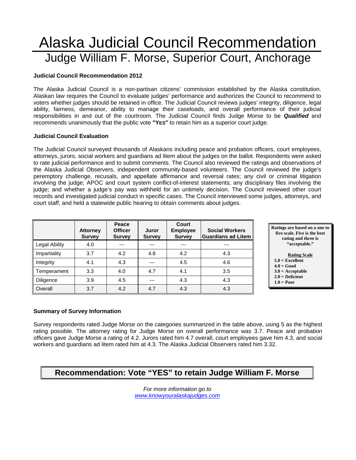## Alaska Judicial Council Recommendation Judge William F. Morse, Superior Court, Anchorage

#### **Judicial Council Recommendation 2012**

The Alaska Judicial Council is a non-partisan citizens' commission established by the Alaska constitution. Alaskan law requires the Council to evaluate judges' performance and authorizes the Council to recommend to voters whether judges should be retained in office. The Judicial Council reviews judges' integrity, diligence, legal ability, fairness, demeanor, ability to manage their caseloads, and overall performance of their judicial responsibilities in and out of the courtroom. The Judicial Council finds Judge Morse to be *Qualified* and recommends unanimously that the public vote **"YES"** to retain him as a superior court judge.

#### **Judicial Council Evaluation**

The Judicial Council surveyed thousands of Alaskans including peace and probation officers, court employees, attorneys, jurors, social workers and guardians ad litem about the judges on the ballot. Respondents were asked to rate judicial performance and to submit comments. The Council also reviewed the ratings and observations of the Alaska Judicial Observers, independent community-based volunteers. The Council reviewed the judge's peremptory challenge, recusals, and appellate affirmance and reversal rates; any civil or criminal litigation involving the judge; APOC and court system conflict-of-interest statements; any disciplinary files involving the judge; and whether a judge's pay was withheld for an untimely decision. The Council reviewed other court records and investigated judicial conduct in specific cases. The Council interviewed some judges, attorneys, and court staff, and held a statewide public hearing to obtain comments about judges.

|                      | <b>Attorney</b><br><b>Survey</b> | Peace<br><b>Officer</b><br><b>Survey</b> | Juror<br><b>Survey</b> | Court<br><b>Employee</b><br><b>Survey</b> | <b>Social Workers</b><br><b>Guardians ad Litem</b> |
|----------------------|----------------------------------|------------------------------------------|------------------------|-------------------------------------------|----------------------------------------------------|
| <b>Legal Ability</b> | 4.0                              | ---                                      | ---                    | ---                                       | ---                                                |
| Impartiality         | 3.7                              | 4.2                                      | 4.8                    | 4.2                                       | 4.3                                                |
| Integrity            | 4.1                              | 4.3                                      | ---                    | 4.5                                       | 4.6                                                |
| Temperament          | 3.3                              | 4.0                                      | 4.7                    | 4.1                                       | 3.5                                                |
| Diligence            | 3.9                              | 4.5                                      | ---                    | 4.3                                       | 4.3                                                |
| Overall              | 3.7                              | 4.2                                      | 4.7                    | 4.3                                       | 4.3                                                |



## **5.0 = Excellent**

- $4.0 = Good$
- **3.0 = Acceptable**
- **2.0 = Deficient**
- **1.0 = Poor**

#### **Summary of Survey Information**

Survey respondents rated Judge Morse on the categories summarized in the table above, using 5 as the highest rating possible. The attorney rating for Judge Morse on overall performance was 3.7. Peace and probation officers gave Judge Morse a rating of 4.2. Jurors rated him 4.7 overall, court employees gave him 4.3, and social workers and guardians ad litem rated him at 4.3. The Alaska Judicial Observers rated him 3.32.

## **Recommendation: Vote "YES" to retain Judge William F. Morse**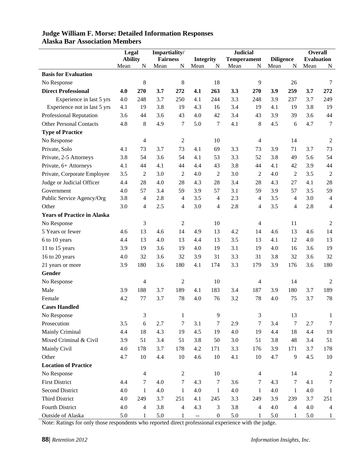|                                    | Legal          |                | Impartiality/   |                  | <b>Judicial</b>                               |                  |                    |                | <b>Overall</b>   |                |                   |                |
|------------------------------------|----------------|----------------|-----------------|------------------|-----------------------------------------------|------------------|--------------------|----------------|------------------|----------------|-------------------|----------------|
|                                    | <b>Ability</b> |                | <b>Fairness</b> |                  | <b>Integrity</b>                              |                  | <b>Temperament</b> |                | <b>Diligence</b> |                | <b>Evaluation</b> |                |
|                                    | Mean           | N              | Mean            | N                | Mean                                          | N                | Mean               | $\mathbf N$    | Mean             | N              | Mean              | N              |
| <b>Basis for Evaluation</b>        |                |                |                 |                  |                                               |                  |                    |                |                  |                |                   |                |
| No Response                        |                | 8              |                 | 8                |                                               | 18               |                    | 9              |                  | 26             |                   | 7              |
| <b>Direct Professional</b>         | 4.0            | 270            | 3.7             | 272              | 4.1                                           | 263              | 3.3                | 270            | 3.9              | 259            | 3.7               | 272            |
| Experience in last 5 yrs           | 4.0            | 248            | 3.7             | 250              | 4.1                                           | 244              | 3.3                | 248            | 3.9              | 237            | 3.7               | 249            |
| Experience not in last 5 yrs       | 4.1            | 19             | 3.8             | 19               | 4.3                                           | 16               | 3.4                | 19             | 4.1              | 19             | 3.8               | 19             |
| Professional Reputation            | 3.6            | 44             | 3.6             | 43               | 4.0                                           | 42               | 3.4                | 43             | 3.9              | 39             | 3.6               | 44             |
| <b>Other Personal Contacts</b>     | 4.8            | 8              | 4.9             | 7                | 5.0                                           | 7                | 4.1                | 8              | 4.5              | 6              | 4.7               | $\overline{7}$ |
| <b>Type of Practice</b>            |                |                |                 |                  |                                               |                  |                    |                |                  |                |                   |                |
| No Response                        |                | 4              |                 | $\sqrt{2}$       |                                               | 10               |                    | 4              |                  | 14             |                   | $\overline{2}$ |
| Private, Solo                      | 4.1            | 73             | 3.7             | 73               | 4.1                                           | 69               | 3.3                | 73             | 3.9              | 71             | 3.7               | 73             |
| Private, 2-5 Attorneys             | 3.8            | 54             | 3.6             | 54               | 4.1                                           | 53               | 3.3                | 52             | 3.8              | 49             | 5.6               | 54             |
| Private, 6+ Attorneys              | 4.1            | 44             | 4.1             | 44               | 4.4                                           | 43               | 3.8                | 44             | 4.1              | 42             | 3.9               | 44             |
| Private, Corporate Employee        | 3.5            | $\overline{c}$ | 3.0             | $\overline{2}$   | 4.0                                           | 2                | 3.0                | $\overline{c}$ | 4.0              | $\mathfrak{2}$ | 3.5               | $\sqrt{2}$     |
| Judge or Judicial Officer          | 4.4            | 28             | 4.0             | 28               | 4.3                                           | 28               | 3.4                | 28             | 4.3              | 27             | 4.1               | 28             |
| Government                         | 4.0            | 57             | 3.4             | 59               | 3.9                                           | 57               | 3.1                | 59             | 3.9              | 57             | 3.5               | 59             |
| Public Service Agency/Org          | 3.8            | $\overline{4}$ | 2.8             | $\overline{4}$   | 3.5                                           | 4                | 2.3                | $\overline{4}$ | 3.5              | $\overline{4}$ | 3.0               | $\overline{4}$ |
| Other                              | 3.0            | $\overline{4}$ | 2.5             | 4                | 3.0                                           | 4                | 2.8                | 4              | 3.5              | 4              | 2.8               | $\overline{4}$ |
| <b>Years of Practice in Alaska</b> |                |                |                 |                  |                                               |                  |                    |                |                  |                |                   |                |
| No Response                        |                | 3              |                 | $\overline{c}$   |                                               | 10               |                    | 4              |                  | 11             |                   | 2              |
| 5 Years or fewer                   | 4.6            | 13             | 4.6             | 14               | 4.9                                           | 13               | 4.2                | 14             | 4.6              | 13             | 4.6               | 14             |
| 6 to 10 years                      | 4.4            | 13             | 4.0             | 13               | 4.4                                           | 13               | 3.5                | 13             | 4.1              | 12             | 4.0               | 13             |
| 11 to 15 years                     | 3.9            | 19             | 3.6             | 19               | 4.0                                           | 19               | 3.1                | 19             | 4.0              | 16             | 3.6               | 19             |
| 16 to 20 years                     | 4.0            | 32             | 3.6             | 32               | 3.9                                           | 31               | 3.3                | 31             | 3.8              | 32             | 3.6               | 32             |
| 21 years or more                   | 3.9            | 180            | 3.6             | 180              | 4.1                                           | 174              | 3.3                | 179            | 3.9              | 176            | 3.6               | 180            |
| Gender                             |                |                |                 |                  |                                               |                  |                    |                |                  |                |                   |                |
| No Response                        |                | 4              |                 | $\overline{2}$   |                                               | 10               |                    | 4              |                  | 14             |                   | 2              |
| Male                               | 3.9            | 188            | 3.7             | 189              | 4.1                                           | 183              | 3.4                | 187            | 3.9              | 180            | 3.7               | 189            |
| Female                             | 4.2            | 77             | 3.7             | 78               | 4.0                                           | 76               | 3.2                | 78             | 4.0              | 75             | 3.7               | 78             |
| <b>Cases Handled</b>               |                |                |                 |                  |                                               |                  |                    |                |                  |                |                   |                |
| No Response                        |                | 3              |                 | $\mathbf{1}$     |                                               | 9                |                    | $\mathfrak{Z}$ |                  | 13             |                   | 1              |
| Prosecution                        | 3.5            | $\sqrt{6}$     | 2.7             | $\tau$           | 3.1                                           | 7                | 2.9                | $\tau$         | 3.4              | $\tau$         | 2.7               | 7              |
| Mainly Criminal                    | 4.4            | 18             | 4.3             | 19               | 4.5                                           | 19               | 4.0                | 19             | 4.4              | 18             | 4.4               | 19             |
| Mixed Criminal & Civil             | 3.9            | 51             | 3.4             | 51               | 3.8                                           | 50               | 3.0                | 51             | 3.8              | 48             | 3.4               | 51             |
| Mainly Civil                       | 4.0            | 178            | 3.7             | 178              | 4.2                                           | 171              | 3.3                | 176            | 3.9              | 171            | 3.7               | 178            |
| Other                              | 4.7            | $10\,$         | 4.4             | $10\,$           | 4.6                                           | 10               | 4.1                | $10\,$         | 4.7              | 9              | 4.5               | 10             |
| <b>Location of Practice</b>        |                |                |                 |                  |                                               |                  |                    |                |                  |                |                   |                |
| No Response                        |                | $\overline{4}$ |                 | $\boldsymbol{2}$ |                                               | 10               |                    | $\overline{4}$ |                  | 14             |                   | $\overline{2}$ |
| <b>First District</b>              | 4.4            | $\tau$         | 4.0             | 7                | 4.3                                           | 7                | 3.6                | $\tau$         | 4.3              | 7              | 4.1               | $\tau$         |
| <b>Second District</b>             | 4.0            | $\mathbf{1}$   | 4.0             | $\mathbf{1}$     | 4.0                                           | $\mathbf{1}$     | 4.0                | 1              | 4.0              | $\mathbf{1}$   | 4.0               | $\mathbf{1}$   |
| Third District                     | 4.0            | 249            | 3.7             | 251              | 4.1                                           | 245              | 3.3                | 249            | 3.9              | 239            | 3.7               | 251            |
| Fourth District                    | 4.0            | $\overline{4}$ | 3.8             | $\overline{4}$   | 4.3                                           | 3                | 3.8                | $\overline{4}$ | 4.0              | $\overline{4}$ | 4.0               | $\overline{4}$ |
| Outside of Alaska                  | 5.0            | $\mathbf{1}$   | 5.0             | $\mathbf{1}$     | $\mathord{\hspace{1pt}\text{--}\hspace{1pt}}$ | $\boldsymbol{0}$ | 5.0                | $\mathbf{1}$   | 5.0              | $\mathbf{1}$   | 5.0               | $\mathbf{1}$   |

### **Judge William F. Morse: Detailed Information Responses Alaska Bar Association Members**

Note: Ratings for only those respondents who reported direct professional experience with the judge.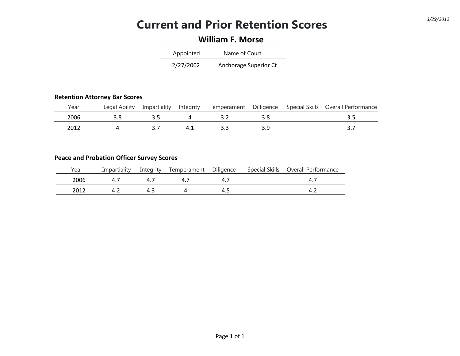## **Current and Prior Retention Scores** *3/29/2012*

## **William F. Morse**

| Appointed | Name of Court         |
|-----------|-----------------------|
| 2/27/2002 | Anchorage Superior Ct |

#### **Retention Attorney Bar Scores**

| Year | Ability<br>∟egal | Impartiality | Intearity | Temperament | Dilligence | <b>Special Skills</b> | Overall Performance |
|------|------------------|--------------|-----------|-------------|------------|-----------------------|---------------------|
| 2006 |                  |              |           |             |            |                       |                     |
| າ∩11 |                  |              |           |             |            |                       | <u>.</u>            |

#### **Peace and Probation Officer Survey Scores**

| Year | Impartiality | Integrity | Temperament Diligence |     | Special Skills | Overall Performance |
|------|--------------|-----------|-----------------------|-----|----------------|---------------------|
| 2006 |              |           | 4                     | 4   |                |                     |
| 2012 |              | 4.3       |                       | 4.5 |                |                     |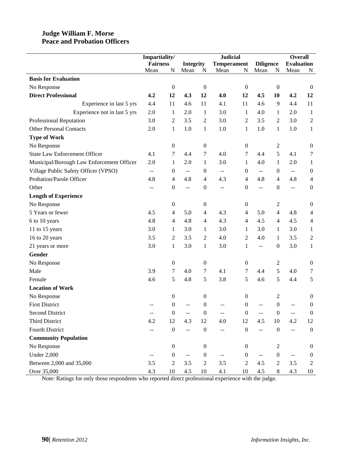#### **Judge William F. Morse Peace and Probation Officers**

|                                           | Impartiality/   |                  |                  |                  | <b>Judicial</b>                               |                  |                          |                  | <b>Overall</b>           |                  |
|-------------------------------------------|-----------------|------------------|------------------|------------------|-----------------------------------------------|------------------|--------------------------|------------------|--------------------------|------------------|
|                                           | <b>Fairness</b> |                  | <b>Integrity</b> |                  | <b>Temperament</b>                            |                  | <b>Diligence</b>         |                  | <b>Evaluation</b>        |                  |
|                                           | Mean            | N                | Mean             | N                | Mean                                          | N                | Mean                     | N                | Mean                     | N                |
| <b>Basis for Evaluation</b>               |                 |                  |                  |                  |                                               |                  |                          |                  |                          |                  |
| No Response                               |                 | $\boldsymbol{0}$ |                  | $\boldsymbol{0}$ |                                               | $\boldsymbol{0}$ |                          | $\boldsymbol{0}$ |                          | $\boldsymbol{0}$ |
| <b>Direct Professional</b>                | 4.2             | 12               | 4.3              | 12               | 4.0                                           | 12               | 4.5                      | 10               | 4.2                      | 12               |
| Experience in last 5 yrs                  | 4.4             | 11               | 4.6              | 11               | 4.1                                           | 11               | 4.6                      | 9                | 4.4                      | 11               |
| Experience not in last 5 yrs              | 2.0             | 1                | 2.0              | $\mathbf{1}$     | 3.0                                           | 1                | 4.0                      | 1                | 2.0                      | $\mathbf{1}$     |
| Professional Reputation                   | 3.0             | $\overline{c}$   | 3.5              | $\mathfrak{2}$   | 3.0                                           | 2                | 3.5                      | 2                | 3.0                      | $\mathbf{2}$     |
| <b>Other Personal Contacts</b>            | 2.0             | $\mathbf{1}$     | 1.0              | $\mathbf{1}$     | 1.0                                           | 1                | 1.0                      | $\mathbf{1}$     | 1.0                      | $\mathbf{1}$     |
| <b>Type of Work</b>                       |                 |                  |                  |                  |                                               |                  |                          |                  |                          |                  |
| No Response                               |                 | $\boldsymbol{0}$ |                  | $\boldsymbol{0}$ |                                               | $\boldsymbol{0}$ |                          | $\overline{c}$   |                          | $\boldsymbol{0}$ |
| <b>State Law Enforcement Officer</b>      | 4.1             | 7                | 4.4              | $\tau$           | 4.0                                           | 7                | 4.4                      | 5                | 4.1                      | 7                |
| Municipal/Borough Law Enforcement Officer | 2.0             | $\mathbf{1}$     | 2.0              | $\mathbf{1}$     | 3.0                                           | $\mathbf{1}$     | 4.0                      | 1                | 2.0                      | $\mathbf{1}$     |
| Village Public Safety Officer (VPSO)      | $- -$           | $\boldsymbol{0}$ | $\mathrel{{-}-}$ | $\boldsymbol{0}$ | $\mathord{\hspace{1pt}\text{--}\hspace{1pt}}$ | $\boldsymbol{0}$ | $- -$                    | $\boldsymbol{0}$ | $\overline{\phantom{m}}$ | $\boldsymbol{0}$ |
| Probation/Parole Officer                  | 4.8             | $\overline{4}$   | 4.8              | $\overline{4}$   | 4.3                                           | $\overline{4}$   | 4.8                      | $\overline{4}$   | 4.8                      | $\overline{4}$   |
| Other                                     | $-$             | $\boldsymbol{0}$ | $\overline{a}$   | $\boldsymbol{0}$ | $-$                                           | $\boldsymbol{0}$ | $\overline{a}$           | $\boldsymbol{0}$ | --                       | $\boldsymbol{0}$ |
| <b>Length of Experience</b>               |                 |                  |                  |                  |                                               |                  |                          |                  |                          |                  |
| No Response                               |                 | 0                |                  | 0                |                                               | $\boldsymbol{0}$ |                          | 2                |                          | $\boldsymbol{0}$ |
| 5 Years or fewer                          | 4.5             | 4                | 5.0              | $\overline{4}$   | 4.3                                           | 4                | 5.0                      | $\overline{4}$   | 4.8                      | $\overline{4}$   |
| 6 to 10 years                             | 4.8             | 4                | 4.8              | $\overline{4}$   | 4.3                                           | $\overline{4}$   | 4.5                      | $\overline{4}$   | 4.5                      | $\overline{4}$   |
| 11 to 15 years                            | 3.0             | 1                | 3.0              | $\mathbf{1}$     | 3.0                                           | $\mathbf{1}$     | 3.0                      | 1                | 3.0                      | $\mathbf{1}$     |
| 16 to 20 years                            | 3.5             | $\overline{c}$   | 3.5              | $\overline{2}$   | 4.0                                           | 2                | 4.0                      | 1                | 3.5                      | $\boldsymbol{2}$ |
| 21 years or more                          | 3.0             | $\,1$            | 3.0              | $\mathbf{1}$     | 3.0                                           | 1                | $\overline{\phantom{a}}$ | $\boldsymbol{0}$ | 3.0                      | $\mathbf{1}$     |
| Gender                                    |                 |                  |                  |                  |                                               |                  |                          |                  |                          |                  |
| No Response                               |                 | $\boldsymbol{0}$ |                  | $\boldsymbol{0}$ |                                               | $\boldsymbol{0}$ |                          | 2                |                          | $\boldsymbol{0}$ |
| Male                                      | 3.9             | 7                | 4.0              | 7                | 4.1                                           | 7                | 4.4                      | 5                | 4.0                      | 7                |
| Female                                    | 4.6             | 5                | 4.8              | 5                | 3.8                                           | 5                | 4.6                      | 5                | 4.4                      | 5                |
| <b>Location of Work</b>                   |                 |                  |                  |                  |                                               |                  |                          |                  |                          |                  |
| No Response                               |                 | $\boldsymbol{0}$ |                  | $\boldsymbol{0}$ |                                               | $\boldsymbol{0}$ |                          | 2                |                          | $\boldsymbol{0}$ |
| <b>First District</b>                     |                 | 0                |                  | $\boldsymbol{0}$ |                                               | 0                |                          | $\boldsymbol{0}$ |                          | $\boldsymbol{0}$ |
| <b>Second District</b>                    |                 | $\boldsymbol{0}$ |                  | $\boldsymbol{0}$ |                                               | $\boldsymbol{0}$ |                          | $\boldsymbol{0}$ |                          | $\boldsymbol{0}$ |
| Third District                            | 4.2             | 12               | 4.3              | 12               | 4.0                                           | 12               | 4.5                      | 10               | 4.2                      | 12               |
| <b>Fourth District</b>                    |                 | $\boldsymbol{0}$ | ÷-               | $\boldsymbol{0}$ |                                               | $\boldsymbol{0}$ | $\overline{a}$           | $\boldsymbol{0}$ | $-$                      | $\boldsymbol{0}$ |
| <b>Community Population</b>               |                 |                  |                  |                  |                                               |                  |                          |                  |                          |                  |
| No Response                               |                 | $\boldsymbol{0}$ |                  | $\boldsymbol{0}$ |                                               | $\overline{0}$   |                          | 2                |                          | $\mathbf{0}$     |
| <b>Under 2,000</b>                        |                 | $\boldsymbol{0}$ | $-$              | $\boldsymbol{0}$ |                                               | $\boldsymbol{0}$ |                          | $\boldsymbol{0}$ |                          | $\boldsymbol{0}$ |
| Between 2,000 and 35,000                  | 3.5             | $\overline{c}$   | 3.5              | $\sqrt{2}$       | 3.5                                           | $\overline{2}$   | 4.5                      | 2                | 3.5                      | $\overline{2}$   |
| Over 35,000                               | 4.3             | $10\,$           | 4.5              | 10               | 4.1                                           | 10               | 4.5                      | 8                | 4.3                      | 10               |

Note: Ratings for only those respondents who reported direct professional experience with the judge.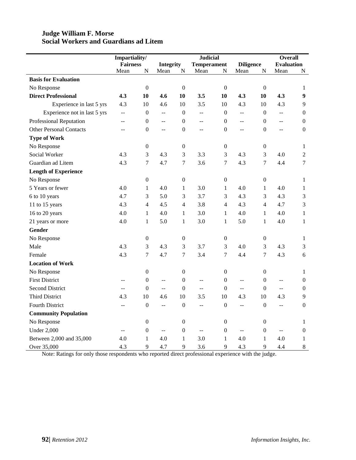#### **Judge William F. Morse Social Workers and Guardians ad Litem**

|                                | Impartiality/   |                  | <b>Judicial</b>          |                  |                          |                  | <b>Overall</b>   |                  |                   |                  |
|--------------------------------|-----------------|------------------|--------------------------|------------------|--------------------------|------------------|------------------|------------------|-------------------|------------------|
|                                | <b>Fairness</b> |                  | <b>Integrity</b>         |                  | <b>Temperament</b>       |                  | <b>Diligence</b> |                  | <b>Evaluation</b> |                  |
|                                | Mean            | ${\bf N}$        | Mean                     | ${\bf N}$        | Mean                     | ${\bf N}$        | Mean             | ${\bf N}$        | Mean              | N                |
| <b>Basis for Evaluation</b>    |                 |                  |                          |                  |                          |                  |                  |                  |                   |                  |
| No Response                    |                 | $\boldsymbol{0}$ |                          | $\boldsymbol{0}$ |                          | $\boldsymbol{0}$ |                  | $\boldsymbol{0}$ |                   | 1                |
| <b>Direct Professional</b>     | 4.3             | 10               | 4.6                      | 10               | 3.5                      | 10               | 4.3              | 10               | 4.3               | $\boldsymbol{9}$ |
| Experience in last 5 yrs       | 4.3             | 10               | 4.6                      | 10               | 3.5                      | 10               | 4.3              | 10               | 4.3               | 9                |
| Experience not in last 5 yrs   | $\overline{a}$  | $\boldsymbol{0}$ | ΞĒ,                      | $\boldsymbol{0}$ | $\overline{\phantom{a}}$ | $\boldsymbol{0}$ | $\overline{a}$   | $\mathbf{0}$     | цц.               | $\boldsymbol{0}$ |
| Professional Reputation        | $-$             | $\boldsymbol{0}$ | $\overline{a}$           | $\boldsymbol{0}$ | $- -$                    | $\boldsymbol{0}$ | $-$              | $\boldsymbol{0}$ | $\overline{a}$    | $\boldsymbol{0}$ |
| <b>Other Personal Contacts</b> | 44              | $\boldsymbol{0}$ | $\overline{a}$           | $\boldsymbol{0}$ | $\overline{a}$           | $\boldsymbol{0}$ | $\overline{a}$   | $\boldsymbol{0}$ | $\overline{a}$    | $\boldsymbol{0}$ |
| <b>Type of Work</b>            |                 |                  |                          |                  |                          |                  |                  |                  |                   |                  |
| No Response                    |                 | $\boldsymbol{0}$ |                          | $\boldsymbol{0}$ |                          | $\boldsymbol{0}$ |                  | $\boldsymbol{0}$ |                   | $\mathbf{1}$     |
| Social Worker                  | 4.3             | 3                | 4.3                      | 3                | 3.3                      | 3                | 4.3              | 3                | 4.0               | $\overline{2}$   |
| Guardian ad Litem              | 4.3             | $\overline{7}$   | 4.7                      | $\boldsymbol{7}$ | 3.6                      | $\boldsymbol{7}$ | 4.3              | 7                | 4.4               | $\boldsymbol{7}$ |
| <b>Length of Experience</b>    |                 |                  |                          |                  |                          |                  |                  |                  |                   |                  |
| No Response                    |                 | $\boldsymbol{0}$ |                          | $\boldsymbol{0}$ |                          | $\boldsymbol{0}$ |                  | $\boldsymbol{0}$ |                   | $\mathbf{1}$     |
| 5 Years or fewer               | 4.0             | $\mathbf{1}$     | 4.0                      | $\mathbf{1}$     | 3.0                      | $\mathbf{1}$     | 4.0              | $\mathbf{1}$     | 4.0               | $\mathbf{1}$     |
| 6 to 10 years                  | 4.7             | 3                | 5.0                      | 3                | 3.7                      | 3                | 4.3              | 3                | 4.3               | 3                |
| 11 to 15 years                 | 4.3             | $\overline{4}$   | 4.5                      | $\overline{4}$   | 3.8                      | $\overline{4}$   | 4.3              | $\overline{4}$   | 4.7               | 3                |
| 16 to 20 years                 | 4.0             | $\mathbf{1}$     | 4.0                      | $\mathbf{1}$     | 3.0                      | $\mathbf{1}$     | 4.0              | $\mathbf{1}$     | 4.0               | $\mathbf{1}$     |
| 21 years or more               | 4.0             | $\mathbf{1}$     | 5.0                      | $\mathbf{1}$     | 3.0                      | $\mathbf{1}$     | 5.0              | $\mathbf{1}$     | 4.0               | $\mathbf{1}$     |
| <b>Gender</b>                  |                 |                  |                          |                  |                          |                  |                  |                  |                   |                  |
| No Response                    |                 | $\boldsymbol{0}$ |                          | $\boldsymbol{0}$ |                          | $\boldsymbol{0}$ |                  | $\boldsymbol{0}$ |                   | $\mathbf{1}$     |
| Male                           | 4.3             | 3                | 4.3                      | 3                | 3.7                      | 3                | 4.0              | 3                | 4.3               | 3                |
| Female                         | 4.3             | $\overline{7}$   | 4.7                      | $\overline{7}$   | 3.4                      | $\overline{7}$   | 4.4              | $\overline{7}$   | 4.3               | 6                |
| <b>Location of Work</b>        |                 |                  |                          |                  |                          |                  |                  |                  |                   |                  |
| No Response                    |                 | $\boldsymbol{0}$ |                          | $\boldsymbol{0}$ |                          | $\boldsymbol{0}$ |                  | $\boldsymbol{0}$ |                   | $\mathbf{1}$     |
| <b>First District</b>          | --              | $\boldsymbol{0}$ | $\bar{\phantom{a}}$      | $\boldsymbol{0}$ | $\overline{a}$           | $\mathbf{0}$     | $\overline{a}$   | $\boldsymbol{0}$ | $\overline{a}$    | $\mathbf{0}$     |
| <b>Second District</b>         | <u></u>         | $\boldsymbol{0}$ | $\overline{a}$           | $\mathbf{0}$     | $\overline{a}$           | $\mathbf{0}$     | $\overline{a}$   | $\mathbf{0}$     | LL.               | $\boldsymbol{0}$ |
| <b>Third District</b>          | 4.3             | 10               | 4.6                      | 10               | 3.5                      | 10               | 4.3              | 10               | 4.3               | 9                |
| <b>Fourth District</b>         | $\overline{a}$  | $\boldsymbol{0}$ | $\overline{\phantom{m}}$ | $\boldsymbol{0}$ | $\overline{a}$           | $\boldsymbol{0}$ | --               | $\boldsymbol{0}$ | $\overline{a}$    | $\boldsymbol{0}$ |
| <b>Community Population</b>    |                 |                  |                          |                  |                          |                  |                  |                  |                   |                  |
| No Response                    |                 | $\boldsymbol{0}$ |                          | $\boldsymbol{0}$ |                          | $\boldsymbol{0}$ |                  | $\boldsymbol{0}$ |                   | 1                |
| <b>Under 2,000</b>             | $-$             | $\boldsymbol{0}$ | $\bar{\omega}$           | $\boldsymbol{0}$ | $\overline{a}$           | $\boldsymbol{0}$ | $\overline{a}$   | $\boldsymbol{0}$ | $\overline{a}$    | $\boldsymbol{0}$ |
| Between 2,000 and 35,000       | 4.0             | $\mathbf{1}$     | 4.0                      | $\mathbf{1}$     | 3.0                      | $\mathbf{1}$     | 4.0              | $\mathbf{1}$     | 4.0               | $\mathbf{1}$     |
| Over 35,000                    | 4.3             | 9                | 4.7                      | 9                | 3.6                      | 9                | 4.3              | 9                | 4.4               | $\,$ 8 $\,$      |

Note: Ratings for only those respondents who reported direct professional experience with the judge.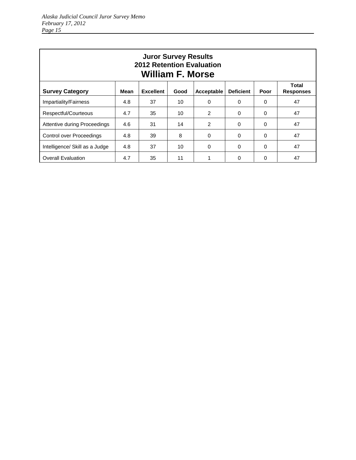| <b>Juror Survey Results</b><br><b>2012 Retention Evaluation</b><br><b>William F. Morse</b> |      |                  |      |               |                  |          |                                  |  |  |  |
|--------------------------------------------------------------------------------------------|------|------------------|------|---------------|------------------|----------|----------------------------------|--|--|--|
| <b>Survey Category</b>                                                                     | Mean | <b>Excellent</b> | Good | Acceptable    | <b>Deficient</b> | Poor     | <b>Total</b><br><b>Responses</b> |  |  |  |
| Impartiality/Fairness                                                                      | 4.8  | 37               | 10   | $\Omega$      | $\Omega$         | 0        | 47                               |  |  |  |
| Respectful/Courteous                                                                       | 4.7  | 35               | 10   | 2             | $\Omega$         | $\Omega$ | 47                               |  |  |  |
| Attentive during Proceedings                                                               | 4.6  | 31               | 14   | $\mathcal{P}$ | $\Omega$         | $\Omega$ | 47                               |  |  |  |
| <b>Control over Proceedings</b>                                                            | 4.8  | 39               | 8    | $\Omega$      | $\Omega$         | $\Omega$ | 47                               |  |  |  |
| Intelligence/ Skill as a Judge                                                             | 4.8  | 37               | 10   | $\Omega$      | $\Omega$         | $\Omega$ | 47                               |  |  |  |
| <b>Overall Evaluation</b>                                                                  | 4.7  | 35               | 11   |               | 0                | 0        | 47                               |  |  |  |